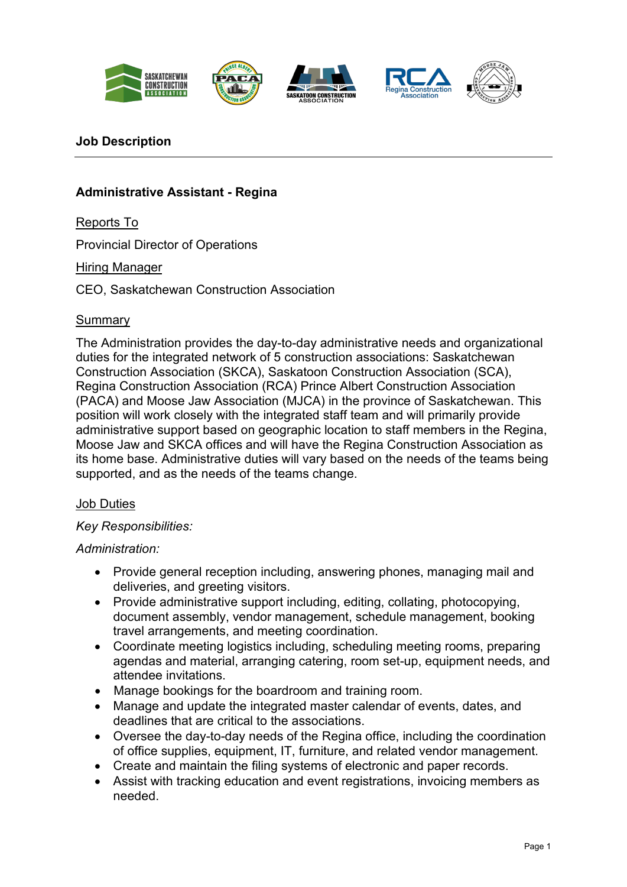









## **Job Description**

# **Administrative Assistant - Regina**

Reports To

Provincial Director of Operations

Hiring Manager

CEO, Saskatchewan Construction Association

## **Summary**

The Administration provides the day-to-day administrative needs and organizational duties for the integrated network of 5 construction associations: Saskatchewan Construction Association (SKCA), Saskatoon Construction Association (SCA), Regina Construction Association (RCA) Prince Albert Construction Association (PACA) and Moose Jaw Association (MJCA) in the province of Saskatchewan. This position will work closely with the integrated staff team and will primarily provide administrative support based on geographic location to staff members in the Regina, Moose Jaw and SKCA offices and will have the Regina Construction Association as its home base. Administrative duties will vary based on the needs of the teams being supported, and as the needs of the teams change.

## Job Duties

## *Key Responsibilities:*

#### *Administration:*

- Provide general reception including, answering phones, managing mail and deliveries, and greeting visitors.
- Provide administrative support including, editing, collating, photocopying, document assembly, vendor management, schedule management, booking travel arrangements, and meeting coordination.
- Coordinate meeting logistics including, scheduling meeting rooms, preparing agendas and material, arranging catering, room set-up, equipment needs, and attendee invitations.
- Manage bookings for the boardroom and training room.
- Manage and update the integrated master calendar of events, dates, and deadlines that are critical to the associations.
- Oversee the day-to-day needs of the Regina office, including the coordination of office supplies, equipment, IT, furniture, and related vendor management.
- Create and maintain the filing systems of electronic and paper records.
- Assist with tracking education and event registrations, invoicing members as needed.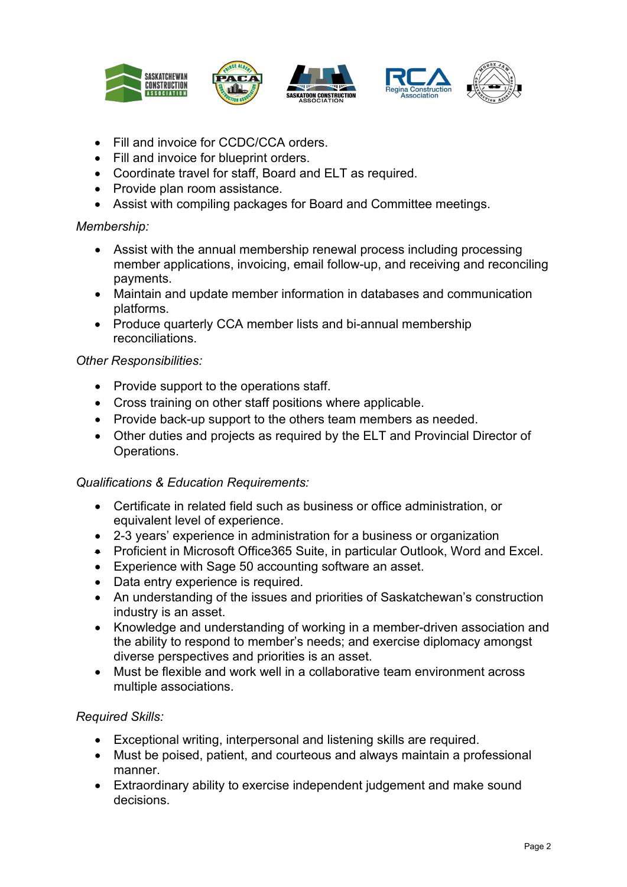

- Fill and invoice for CCDC/CCA orders.
- Fill and invoice for blueprint orders.
- Coordinate travel for staff, Board and ELT as required.
- Provide plan room assistance.
- Assist with compiling packages for Board and Committee meetings.

## *Membership:*

- Assist with the annual membership renewal process including processing member applications, invoicing, email follow-up, and receiving and reconciling payments.
- Maintain and update member information in databases and communication platforms.
- Produce quarterly CCA member lists and bi-annual membership reconciliations.

## *Other Responsibilities:*

- Provide support to the operations staff.
- Cross training on other staff positions where applicable.
- Provide back-up support to the others team members as needed.
- Other duties and projects as required by the ELT and Provincial Director of Operations.

## *Qualifications & Education Requirements:*

- Certificate in related field such as business or office administration, or equivalent level of experience.
- 2-3 years' experience in administration for a business or organization
- Proficient in Microsoft Office365 Suite, in particular Outlook, Word and Excel.
- Experience with Sage 50 accounting software an asset.
- Data entry experience is required.
- An understanding of the issues and priorities of Saskatchewan's construction industry is an asset.
- Knowledge and understanding of working in a member-driven association and the ability to respond to member's needs; and exercise diplomacy amongst diverse perspectives and priorities is an asset.
- Must be flexible and work well in a collaborative team environment across multiple associations.

## *Required Skills:*

- Exceptional writing, interpersonal and listening skills are required.
- Must be poised, patient, and courteous and always maintain a professional manner.
- Extraordinary ability to exercise independent judgement and make sound decisions.